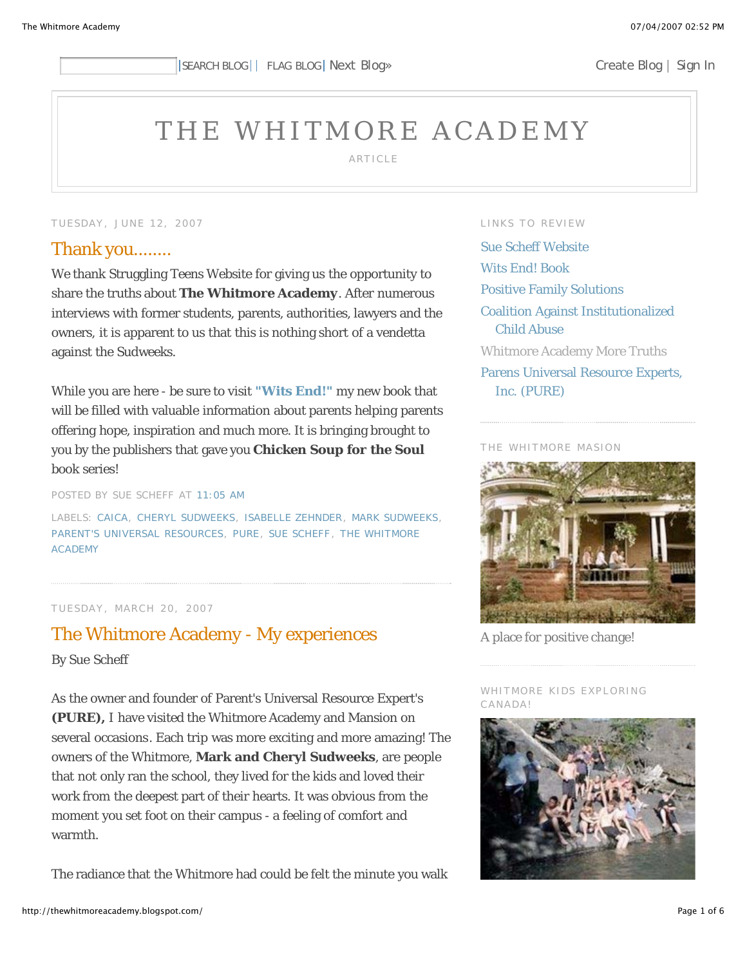# THE WHITMORE ACADEMY

ARTICLE

#### TUESDAY, JUNE 12, 2007

### Thank you........

We thank Struggling Teens Website for giving us the opportunity to share the truths about **The Whitmore Academy**. After numerous interviews with former students, parents, authorities, lawyers and the owners, it is apparent to us that this is nothing short of a vendetta against the Sudweeks.

While you are here - be sure to visit **"Wits End!"** my new book that will be filled with valuable information about parents helping parents offering hope, inspiration and much more. It is bringing brought to you by the publishers that gave you *Chicken Soup for the Soul* book series!

POSTED BY SUE SCHEFF AT 11:05 AM

LABELS: CAICA, CHERYL SUDWEEKS, ISABELLE ZEHNDER, MARK SUDWEEKS, PARENT'S UNIVERSAL RESOURCES, PURE, SUE SCHEFF, THE WHITMORE ACADEMY

#### TUESDAY, MARCH 20, 2007

# The Whitmore Academy - My experiences By Sue Scheff

As the owner and founder of Parent's Universal Resource Expert's **(PURE),** I have visited the Whitmore Academy and Mansion on several occasions. Each trip was more exciting and more amazing! The owners of the Whitmore, **Mark and Cheryl Sudweeks**, are people that not only ran the school, they lived for the kids and loved their work from the deepest part of their hearts. It was obvious from the moment you set foot on their campus - a feeling of comfort and warmth.

The radiance that the Whitmore had could be felt the minute you walk

#### LINKS TO REVIEW

Sue Scheff Website Wits End! Book Positive Family Solutions Coalition Against Institutionalized Child Abuse Whitmore Academy More Truths Parens Universal Resource Experts, Inc. (PURE)

#### THE WHITMORE MASION



A place for positive change!

#### WHITMORE KIDS EXPLORING CANADA!

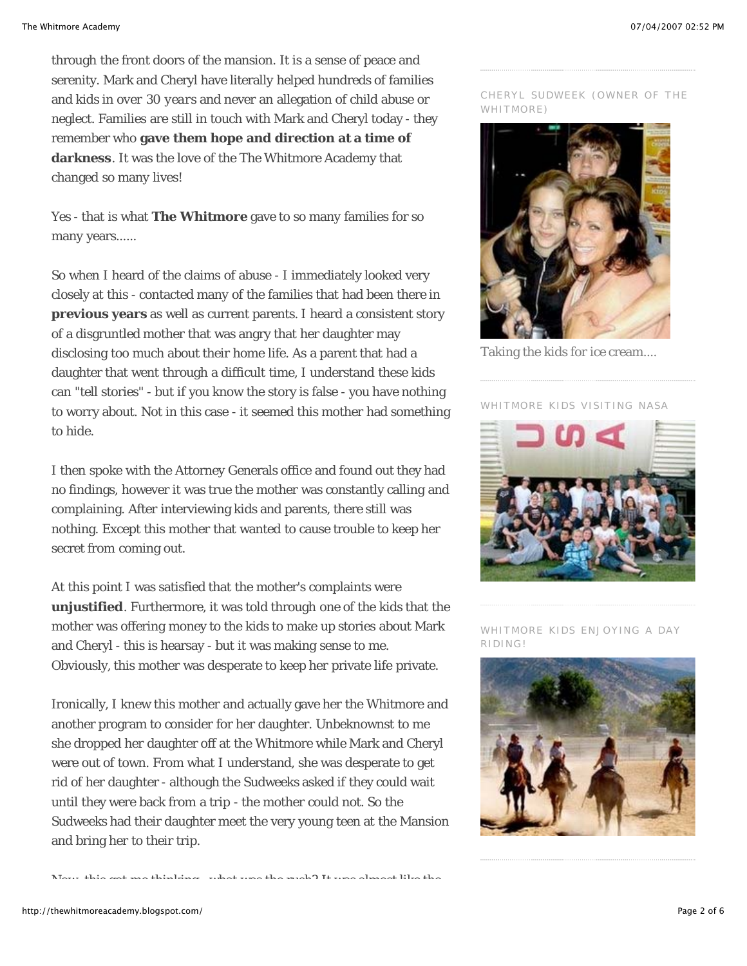through the front doors of the mansion. It is a sense of peace and serenity. Mark and Cheryl have literally helped hundreds of families and kids in *over 30 years* and never an allegation of child abuse or neglect. Families are still in touch with Mark and Cheryl today - they remember who **gave them hope and direction at a time of darkness**. It was the love of the The Whitmore Academy that changed so many lives!

Yes - that is what **The Whitmore** gave to so many families for so many years......

So when I heard of the claims of abuse - I immediately looked very closely at this - contacted many of the families that had been there in **previous years** as well as current parents. I heard a consistent story of a disgruntled mother that was angry that her daughter may disclosing too much about their home life. As a parent that had a daughter that went through a difficult time, I understand these kids can "tell stories" - but if you know the story is false - you have nothing to worry about. Not in this case - it seemed this mother had something to hide.

I then spoke with the Attorney Generals office and found out they had no findings, however it was true the mother was constantly calling and complaining. After interviewing kids and parents, there still was nothing. Except this mother that wanted to cause trouble to keep her secret from coming out.

At this point I was satisfied that the mother's complaints were **unjustified**. Furthermore, it was told through one of the kids that the mother was offering money to the kids to make up stories about Mark and Cheryl - this is hearsay - but it was making sense to me. Obviously, this mother was desperate to keep her private life private.

Ironically, I knew this mother and actually gave her the Whitmore and another program to consider for her daughter. Unbeknownst to me she dropped her daughter off at the Whitmore while Mark and Cheryl were out of town. From what I understand, she was desperate to get rid of her daughter - although the Sudweeks asked if they could wait until they were back from a trip - the mother could not. So the Sudweeks had their daughter meet the very young teen at the Mansion and bring her to their trip.

Now this got me thinking what was the rush? It was almost like the

#### CHERYL SUDWEEK (OWNER OF THE WHITMORE)



Taking the kids for ice cream....

WHITMORE KIDS VISITING NASA



WHITMORE KIDS ENJOYING A DAY RIDING!

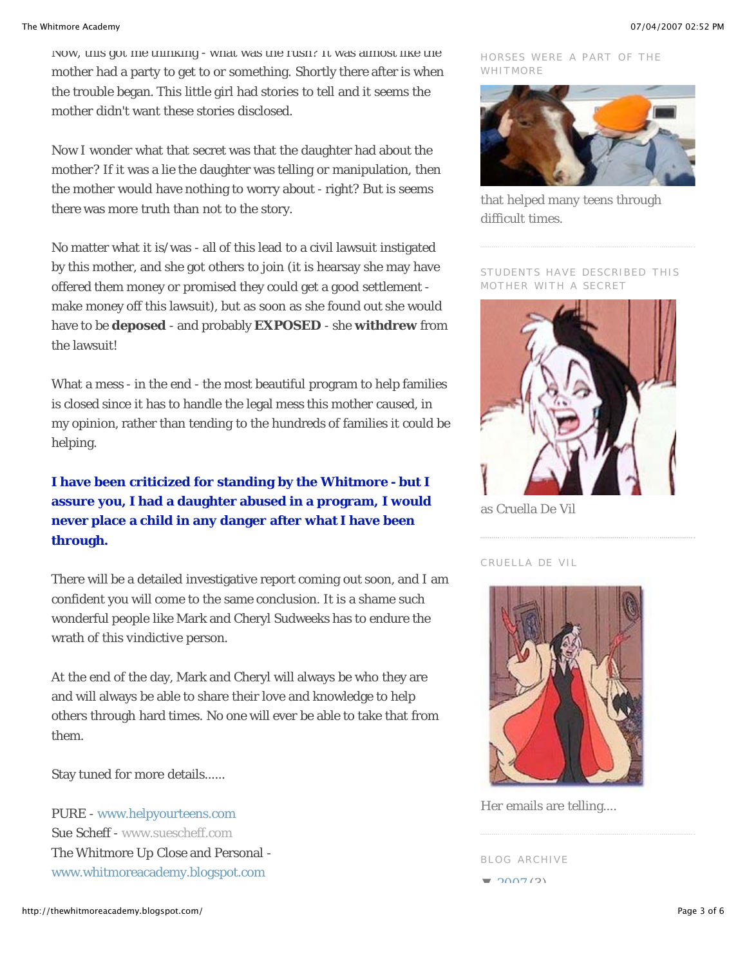Now, this got me thinking - what was the rush? It was almost like the mother had a party to get to or something. Shortly there after is when the trouble began. This little girl had stories to tell and it seems the mother didn't want these stories disclosed.

Now I wonder what that secret was that the daughter had about the mother? If it was a lie the daughter was telling or manipulation, then the mother would have nothing to worry about - right? But is seems there was more truth than not to the story.

No matter what it is/was - all of this lead to a civil lawsuit instigated by this mother, and she got others to join (it is hearsay she may have offered them money or promised they could get a good settlement make money off this lawsuit), but as soon as she found out she would have to be *deposed* - and probably **EXPOSED** - she **withdrew** from the lawsuit!

What a mess - in the end - the most beautiful program to help families is closed since it has to handle the legal mess this mother caused, in my opinion, rather than tending to the hundreds of families it could be helping.

## **I have been criticized for standing by the Whitmore - but I assure you, I had a daughter abused in a program, I would never place a child in any danger after what I have been through.**

There will be a detailed investigative report coming out soon, and I am confident you will come to the same conclusion. It is a shame such wonderful people like Mark and Cheryl Sudweeks has to endure the wrath of this *vindictive* person.

At the end of the day, Mark and Cheryl will always be who they are and will always be able to share their love and knowledge to help others through hard times. No one will ever be able to take that from them.

Stay tuned for more details......

PURE - www.helpyourteens.com Sue Scheff - www.suescheff.com The Whitmore Up Close and Personal www.whitmoreacademy.blogspot.com

HORSES WERE A PART OF THE WHITMORE



that helped many teens through difficult times.

STUDENTS HAVE DESCRIBED THIS MOTHER WITH A SECRET



as Cruella De Vil

CRUELLA DE VIL



Her emails are telling....

BLOG ARCHIVE

 $2007(2)$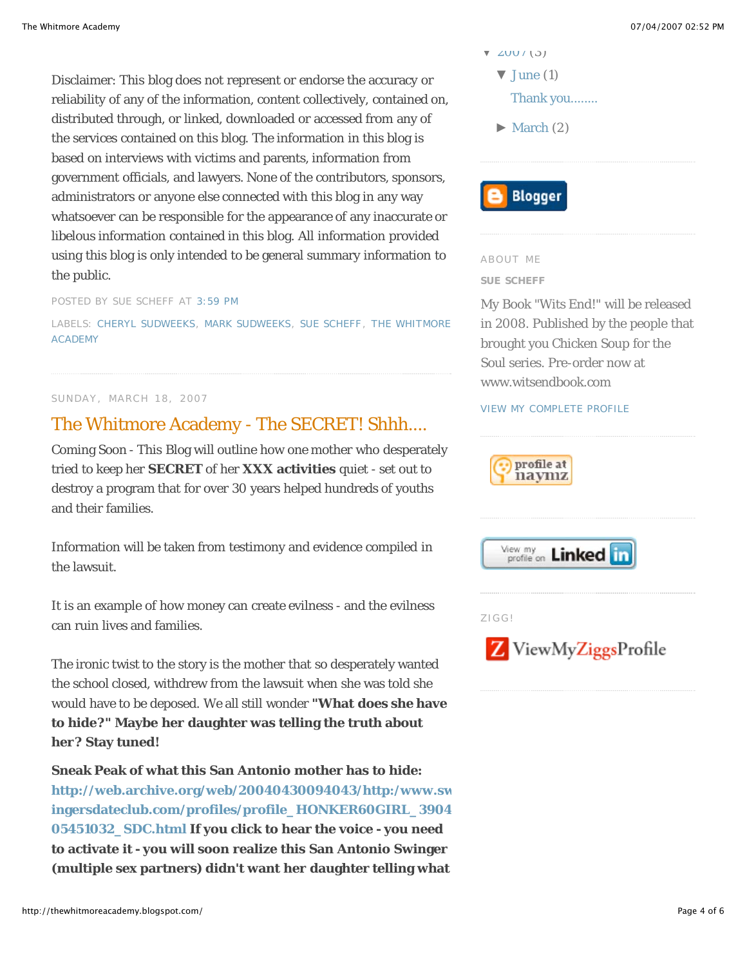Disclaimer: This blog does not represent or endorse the accuracy or reliability of any of the information, content collectively, contained on, distributed through, or linked, downloaded or accessed from any of the services contained on this blog. The information in this blog is based on interviews with victims and parents, information from government officials, and lawyers. None of the contributors, sponsors, administrators or anyone else connected with this blog in any way whatsoever can be responsible for the appearance of any inaccurate or libelous information contained in this blog. All information provided using this blog is only intended to be general summary information to the public.

POSTED BY SUE SCHEFF AT 3:59 PM

LABELS: CHERYL SUDWEEKS, MARK SUDWEEKS, SUE SCHEFF, THE WHITMORE ACADEMY

#### SUNDAY, MARCH 18, 2007

# The Whitmore Academy - The SECRET! Shhh....

Coming Soon - This Blog will outline how one mother who desperately tried to keep her **SECRET** of her **XXX activities** quiet - set out to destroy a program that for over 30 years helped hundreds of youths and their families.

Information will be taken from testimony and evidence compiled in the lawsuit.

It is an example of how money can create evilness - and the evilness can ruin lives and families.

The ironic twist to the story is the mother that so desperately wanted the school closed, withdrew from the lawsuit when she was told she would have to be deposed. We all still wonder **"What does she have to hide?" Maybe her daughter was telling the truth about her? Stay tuned!** 

**Sneak Peak of what this San Antonio mother has to hide: http://web.archive.org/web/20040430094043/http:/www.sw ingersdateclub.com/profiles/profile\_HONKER60GIRL\_3904 05451032\_SDC.html If you click to hear the voice - you need to activate it - you will soon realize this San Antonio Swinger (multiple sex partners) didn't want her daughter telling what**

- $V ZUUI (3)$ 
	- $\blacktriangledown$  June (1)
		- Thank you........
	- $\blacktriangleright$  March (2)



#### ABOUT ME

#### **SUE SCHEFF**

My Book "Wits End!" will be released in 2008. Published by the people that brought you Chicken Soup for the Soul series. Pre-order now at www.witsendbook.com

#### VIEW MY COMPLETE PROFILE







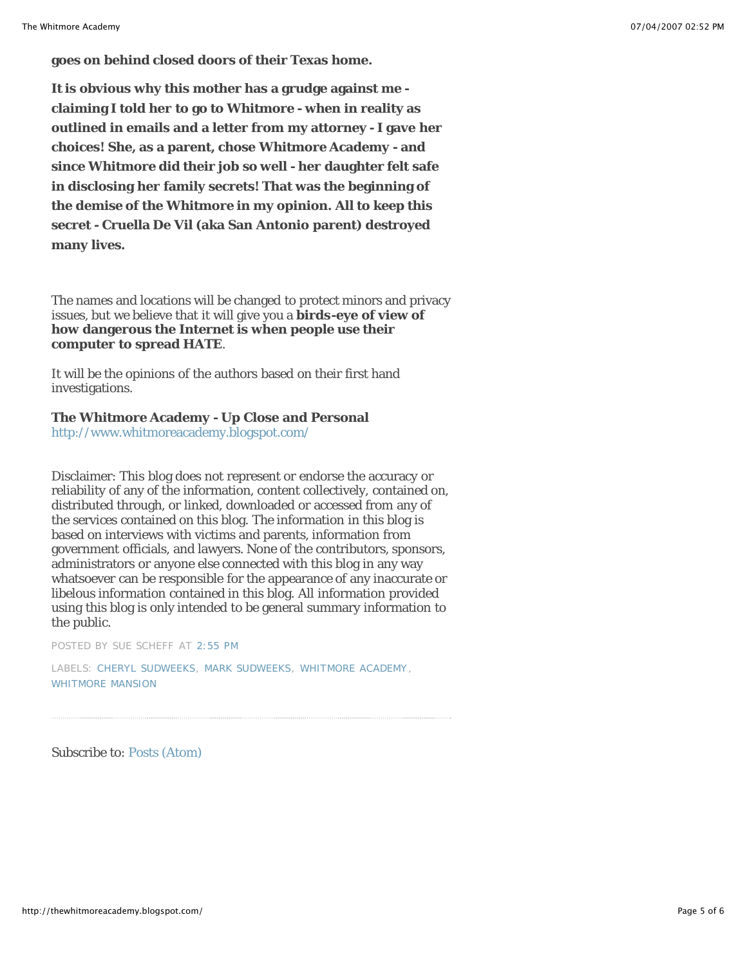**goes on behind closed doors of their Texas home.**

**It is obvious why this mother has a grudge against me claiming I told her to go to Whitmore - when in reality as outlined in emails and a letter from my attorney - I gave her choices! She, as a parent, chose Whitmore Academy - and since Whitmore did their job so well - her daughter felt safe in disclosing her family secrets! That was the beginning of the demise of the Whitmore in my opinion. All to keep this secret - Cruella De Vil (aka San Antonio parent) destroyed many lives.**

The names and locations will be changed to protect minors and privacy issues, but we believe that it will give you a **birds-eye of view of how dangerous the Internet is when people use their computer to spread HATE**.

It will be the opinions of the authors based on their first hand investigations.

#### **The Whitmore Academy - Up Close and Personal**

http://www.whitmoreacademy.blogspot.com/

Disclaimer: This blog does not represent or endorse the accuracy or reliability of any of the information, content collectively, contained on, distributed through, or linked, downloaded or accessed from any of the services contained on this blog. The information in this blog is based on interviews with victims and parents, information from government officials, and lawyers. None of the contributors, sponsors, administrators or anyone else connected with this blog in any way whatsoever can be responsible for the appearance of any inaccurate or libelous information contained in this blog. All information provided using this blog is only intended to be general summary information to the public.

POSTED BY SUE SCHEFF AT 2:55 PM

LABELS: CHERYL SUDWEEKS, MARK SUDWEEKS, WHITMORE ACADEMY, WHITMORE MANSION

Subscribe to: Posts (Atom)